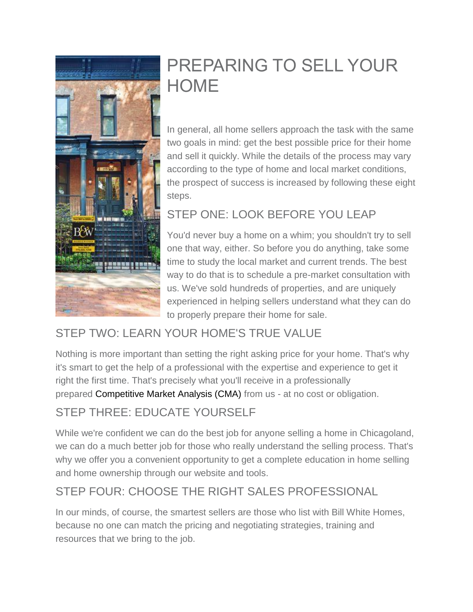

# PREPARING TO SELL YOUR **HOME**

In general, all home sellers approach the task with the same two goals in mind: get the best possible price for their home and sell it quickly. While the details of the process may vary according to the type of home and local market conditions, the prospect of success is increased by following these eight steps.

## STEP ONE: LOOK BEFORE YOU LEAP

You'd never buy a home on a whim; you shouldn't try to sell one that way, either. So before you do anything, take some time to study the local market and current trends. The best way to do that is to schedule a pre-market consultation with us. We've sold hundreds of properties, and are uniquely experienced in helping sellers understand what they can do to properly prepare their home for sale.

## STEP TWO: LEARN YOUR HOME'S TRUE VALUE

Nothing is more important than setting the right asking price for your home. That's why it's smart to get the help of a professional with the expertise and experience to get it right the first time. That's precisely what you'll receive in a professionally prepared [Competitive Market Analysis \(CMA\)](http://williamwhite.bairdwarner.com/the_comparative_market_analysis/) from us - at no cost or obligation.

## STEP THREE: EDUCATE YOURSELF

While we're confident we can do the best job for anyone selling a home in Chicagoland, we can do a much better job for those who really understand the selling process. That's why we offer you a convenient opportunity to get a complete education in home selling and home ownership through our website and tools.

## STEP FOUR: CHOOSE THE RIGHT SALES PROFESSIONAL

In our minds, of course, the smartest sellers are those who list with Bill White Homes, because no one can match the pricing and negotiating strategies, training and resources that we bring to the job.